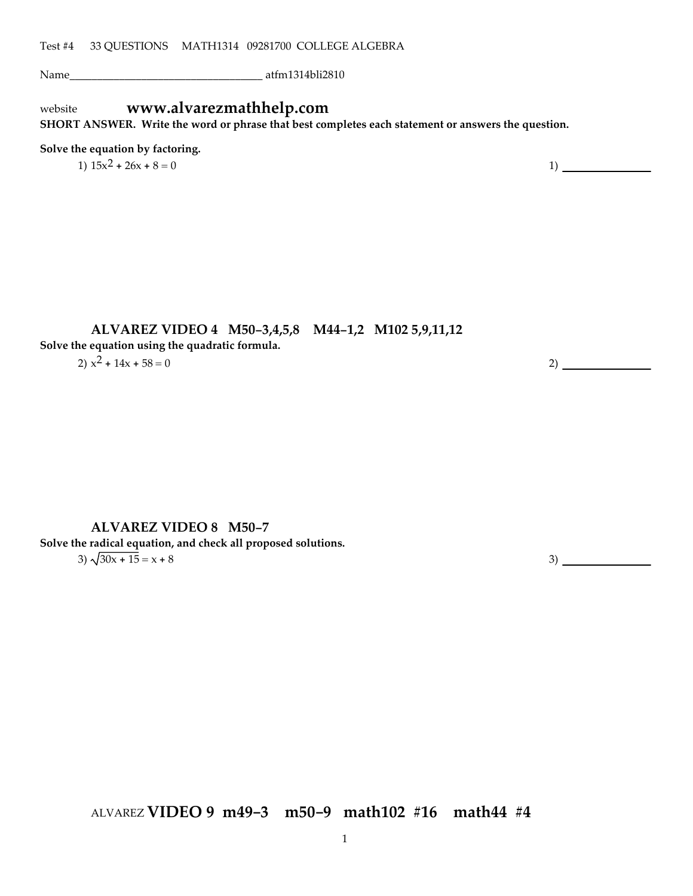Name\_\_\_\_\_\_\_\_\_\_\_\_\_\_\_\_\_\_\_\_\_\_\_\_\_\_\_\_\_\_\_\_\_\_\_ atfm1314bli2810

## website **www.alvarezmathhelp.com**

**SHORT ANSWER. Write the word or phrase that best completes each statement or answers the question.**

#### **Solve the equation by factoring.**

1)  $15x^2 + 26x + 8 = 0$  1)

#### **ALVAREZ VIDEO 4 M50-3,4,5,8 M44-1,2 M102 5,9,11,12**

**Solve the equation using the quadratic formula.**

2)  $x^2 + 14x + 58 = 0$  2)

#### **ALVAREZ VIDEO 8 M50-7**

**Solve the radical equation, and check all proposed solutions.**  $3) \frac{30x + 15}{x^3} = x + 8$  3)

ALVAREZ **VIDEO 9 m49-3 m50-9 math102 #16 math44 #4**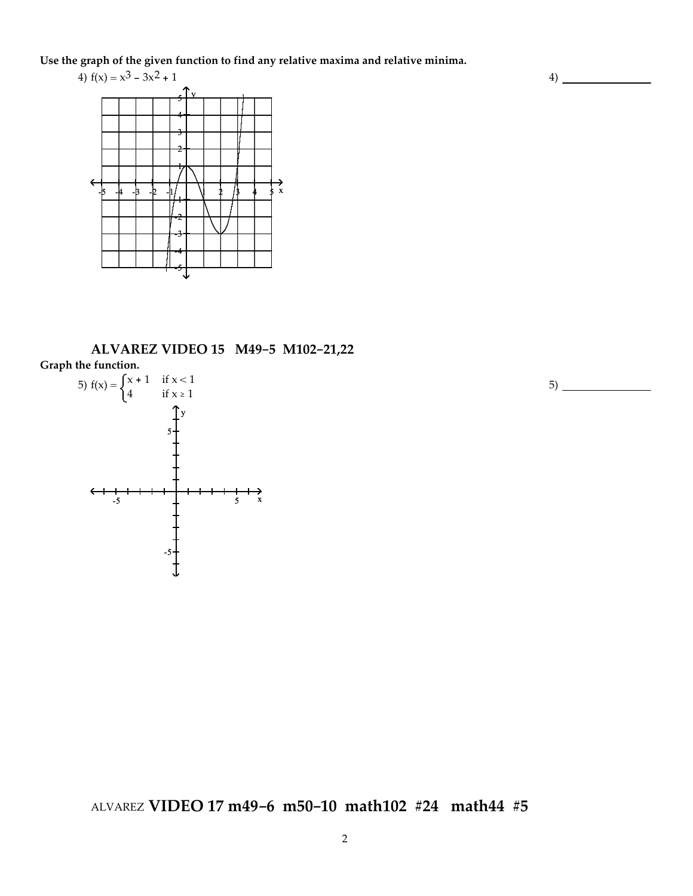**Use the graph of the given function to find any relative maxima and relative minima.**



**ALVAREZ VIDEO 15 M49-5 M102-21,22**





ALVAREZ **VIDEO 17 m49-6 m50-10 math102 #24 math44 #5**

5)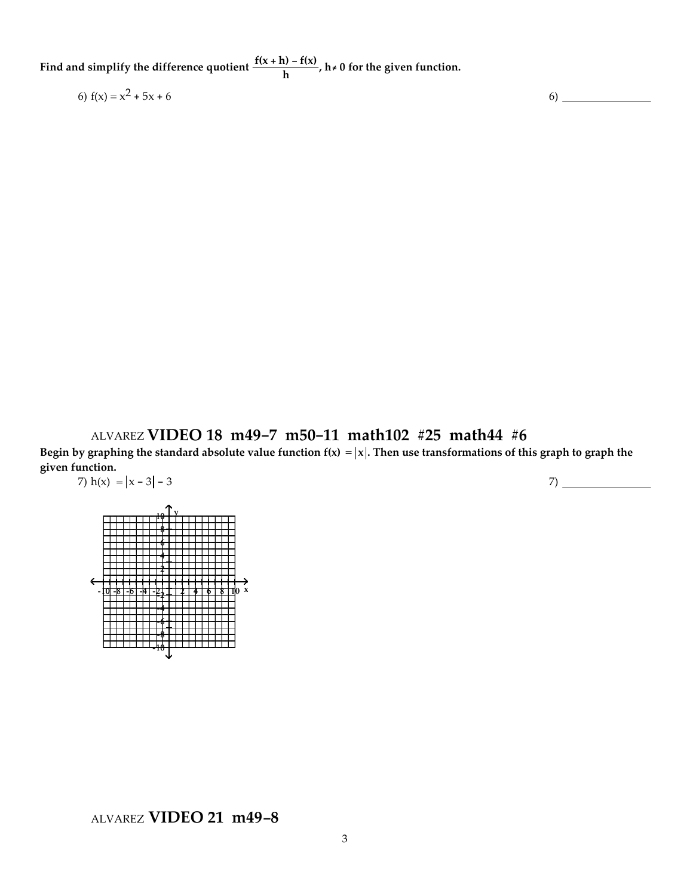**Find** and simplify the difference quotient  $\frac{f(x+h) - f(x)}{h}$ ,  $h \neq 0$  for the given function.

6)  $f(x) = x^2 + 5x + 6$  6

ALVAREZ **VIDEO 18 m49-7 m50-11 math102 #25 math44 #6**

Begin by graphing the standard absolute value function  $f(x) = |x|$ . Then use transformations of this graph to graph the **given function.** 7)  $h(x) = |x - 3| - 3$ 7)

-10 -8 -6 -4 -2 2 4 6 8 10 x  $10 + Y$ 8 6 4 2 -2 -4 -6 -8 -10

## ALVAREZ **VIDEO 21 m49-8**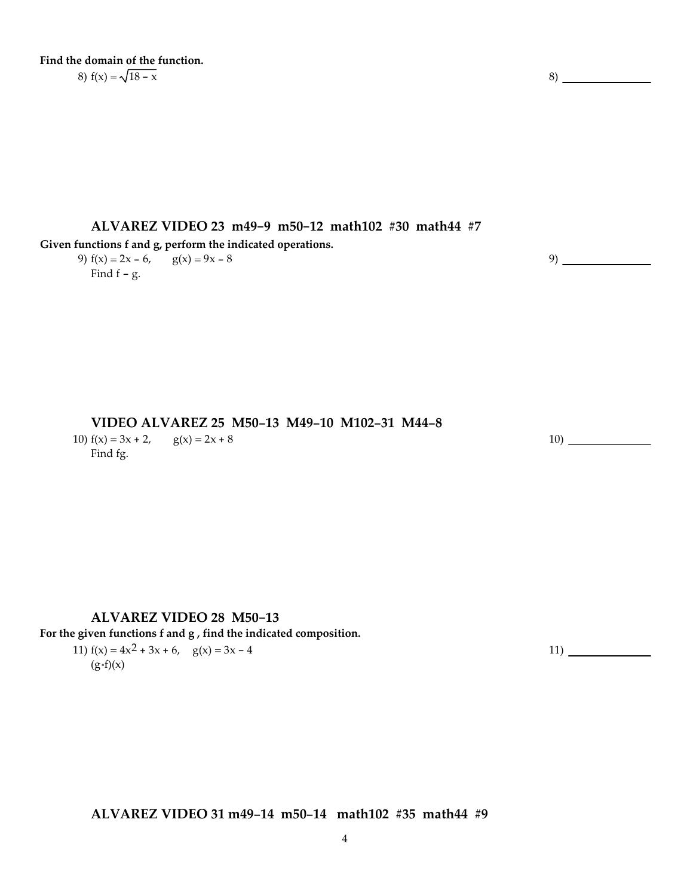**Find the domain of the function.** 8)  $f(x) = \sqrt{18 - x}$  8)

**ALVAREZ VIDEO 23 m49-9 m50-12 math102 #30 math44 #7**

**Given functions f and g, perform the indicated operations.**

9)  $f(x) = 2x - 6$ ,  $g(x) = 9x - 8$ Find  $f - g$ .

**VIDEO ALVAREZ 25 M50-13 M49-10 M102-31 M44-8**

10)  $f(x) = 3x + 2$ ,  $g(x) = 2x + 8$ Find fg.

#### 10)

9)

#### **ALVAREZ VIDEO 28 M50-13**

**For the given functions f and g , find the indicated composition.**

11)  $f(x) = 4x^2 + 3x + 6$ ,  $g(x) = 3x - 4$  $(g \cdot f)(x)$ 

**ALVAREZ VIDEO 31 m49-14 m50-14 math102 #35 math44 #9**

11)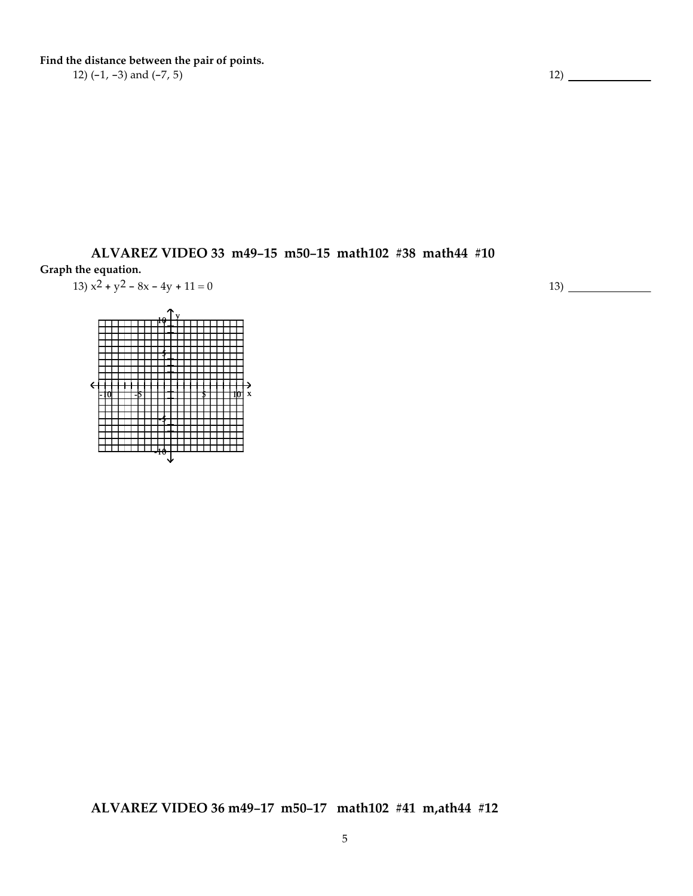**Find the distance between the pair of points.**

12)  $(-1, -3)$  and  $(-7, 5)$  12)

**ALVAREZ VIDEO 33 m49-15 m50-15 math102 #38 math44 #10 Graph the equation.**

$$
13) x2 + y2 - 8x - 4y + 11 = 0
$$

-10 -5 5 10 x  $10 + Y$ 5 -5 -10

13)

**ALVAREZ VIDEO 36 m49-17 m50-17 math102 #41 m,ath44 #12**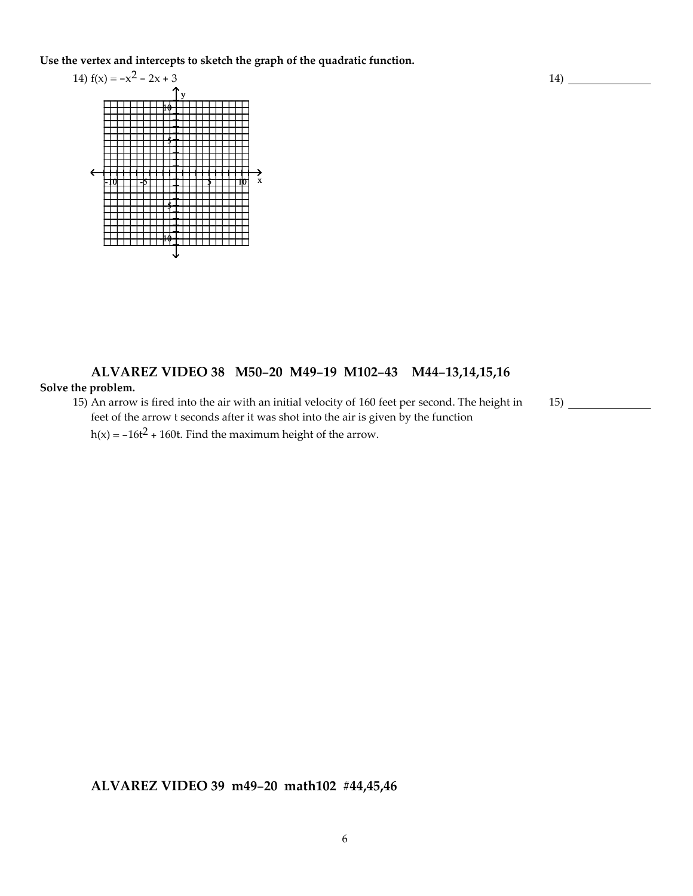**Use the vertex and intercepts to sketch the graph of the quadratic function.**



# **ALVAREZ VIDEO 38 M50-20 M49-19 M102-43 M44-13,14,15,16**

#### **Solve the problem.**

15) An arrow is fired into the air with an initial velocity of 160 feet per second. The height in feet of the arrow t seconds after it was shot into the air is given by the function

 $h(x) = -16t^2 + 160t$ . Find the maximum height of the arrow.

**ALVAREZ VIDEO 39 m49-20 math102 #44,45,46**

 $15)$   $\overline{\phantom{0}}$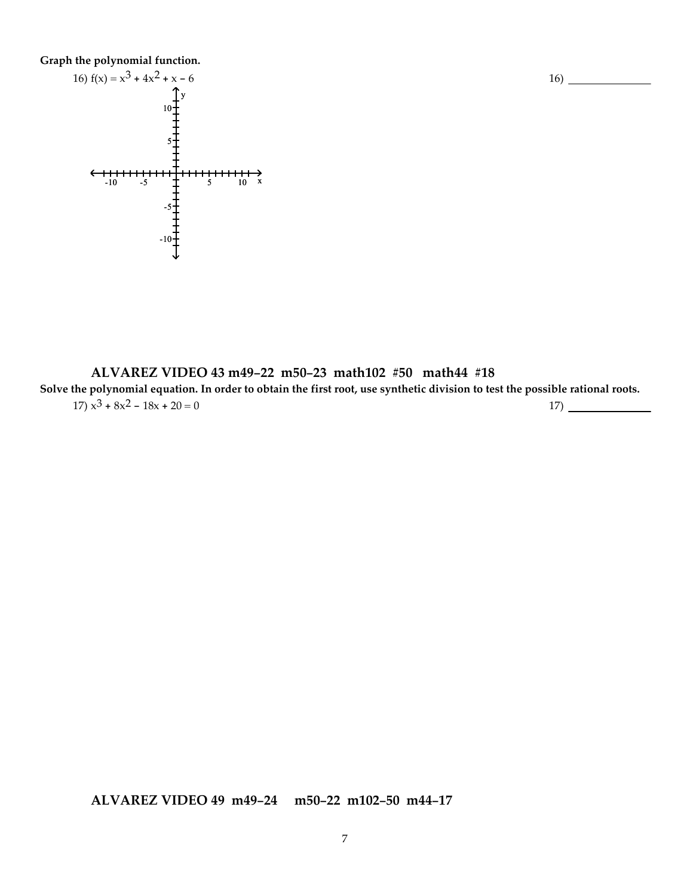**Graph the polynomial function.**



**ALVAREZ VIDEO 43 m49-22 m50-23 math102 #50 math44 #18** Solve the polynomial equation. In order to obtain the first root, use synthetic division to test the possible rational roots.  $17)$   $x^3 + 8x^2 - 18x + 20 = 0$  17)

16)

**ALVAREZ VIDEO 49 m49-24 m50-22 m102-50 m44-17**

7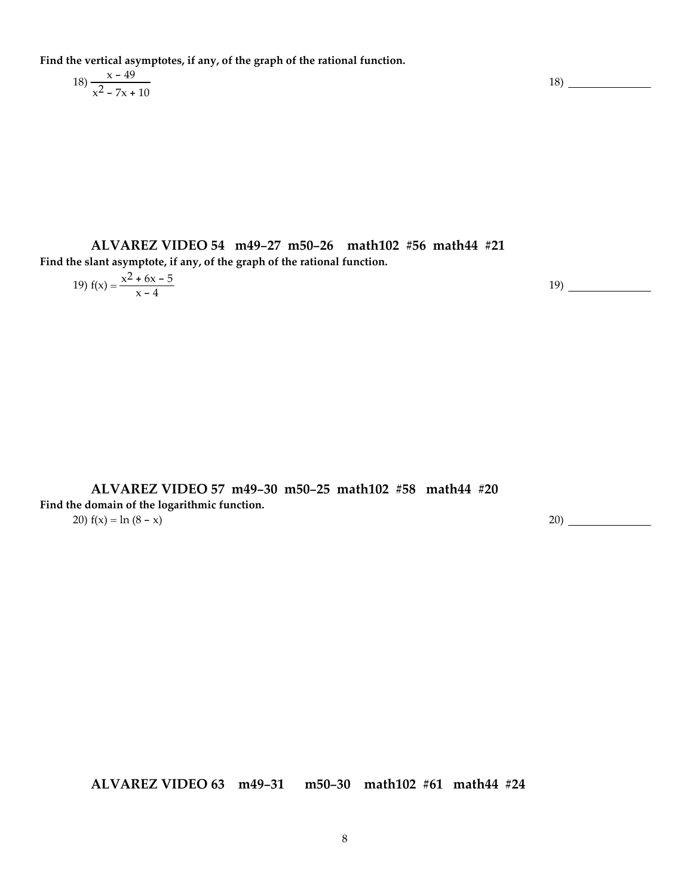**Find the vertical asymptotes, if any, of the graph of the rational function.**

$$
18) \frac{x - 49}{x^2 - 7x + 10}
$$

**ALVAREZ VIDEO 54 m49-27 m50-26 math102 #56 math44 #21 Find the slant asymptote, if any, of the graph of the rational function.**

19) 
$$
f(x) = \frac{x^2 + 6x - 5}{x - 4}
$$

**ALVAREZ VIDEO 57 m49-30 m50-25 math102 #58 math44 #20 Find the domain of the logarithmic function.** 20)  $f(x) = \ln (8 - x)$  20)

**ALVAREZ VIDEO 63 m49-31 m50-30 math102 #61 math44 #24**

18)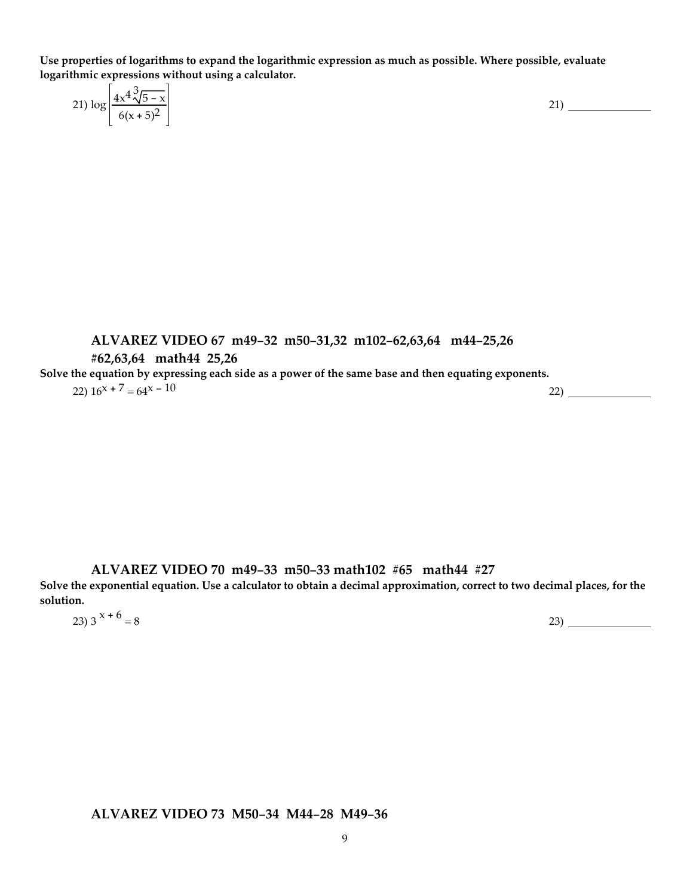**Use properties of logarithms to expand the logarithmic expression as much as possible. Where possible, evaluate logarithmic expressions without using a calculator.**

|  | 21) $\log \left  \frac{4x^4 \sqrt[3]{5-x}}{6(1-x)^2} \right $<br>$6(x+5)^2$ | <u>.</u> |  |
|--|-----------------------------------------------------------------------------|----------|--|
|  |                                                                             |          |  |

**ALVAREZ VIDEO 67 m49-32 m50-31,32 m102-62,63,64 m44-25,26 #62,63,64 math44 25,26** Solve the equation by expressing each side as a power of the same base and then equating exponents. 22) 16x + 7 = 64x - 10 22)

**ALVAREZ VIDEO 70 m49-33 m50-33 math102 #65 math44 #27**

Solve the exponential equation. Use a calculator to obtain a decimal approximation, correct to two decimal places, for the **solution.**

23)  $3^{x + 6} = 8$  23) 23

**ALVAREZ VIDEO 73 M50-34 M44-28 M49-36**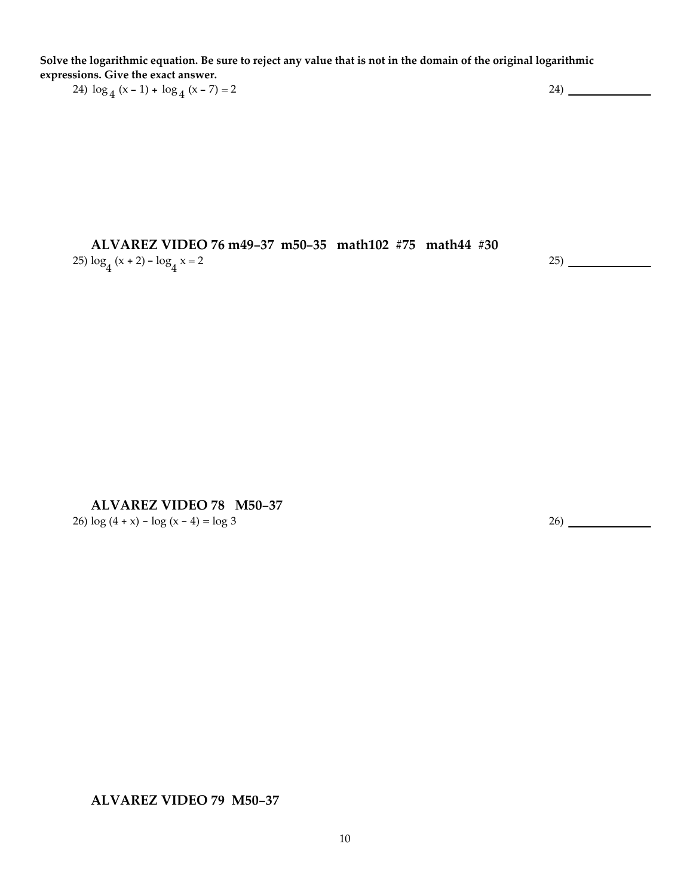Solve the logarithmic equation. Be sure to reject any value that is not in the domain of the original logarithmic **expressions. Give the exact answer.**

24)  $\log_4 (x-1) + \log_4 (x-7) = 2$  24)

**ALVAREZ VIDEO 76 m49-37 m50-35 math102 #75 math44 #30** 25)  $\log_4{(x+2)}$  -  $\log_4{x}$  = 2  $x = 2$  25)

#### **ALVAREZ VIDEO 78 M50-37**

26)  $\log (4 + x) - \log (x - 4) = \log 3$  26)

#### **ALVAREZ VIDEO 79 M50-37**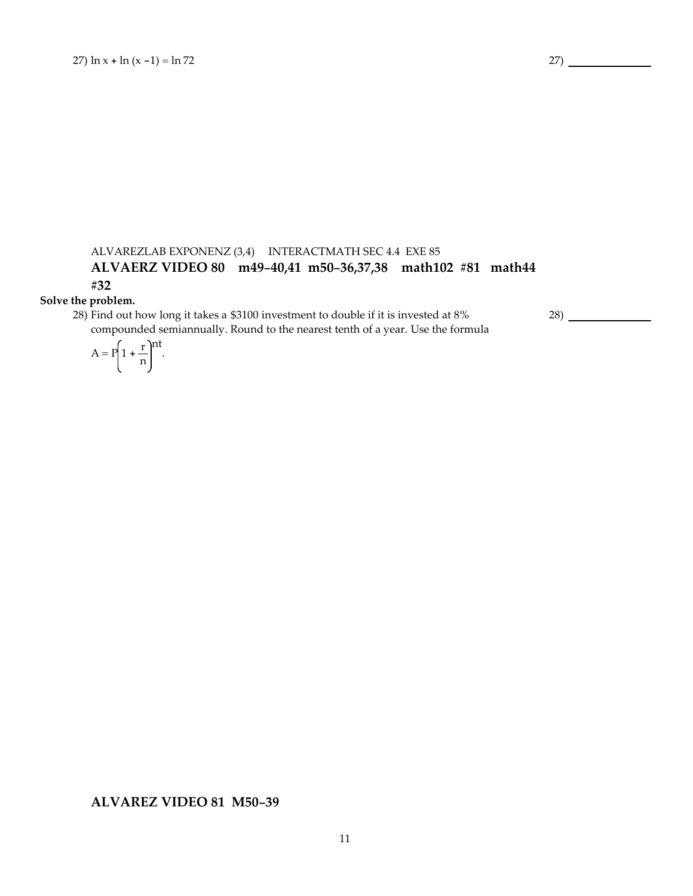### ALVAREZLAB EXPONENZ (3,4) INTERACTMATH SEC 4.4 EXE 85 **ALVAERZ VIDEO 80 m49-40,41 m50-36,37,38 math102 #81 math44 #32**

#### **Solve the problem.**

28) Find out how long it takes a \$3100 investment to double if it is invested at 8% compounded semiannually. Round to the nearest tenth of a year. Use the formula 28)

$$
A = P\left(1 + \frac{r}{n}\right)^{nt}.
$$

#### **ALVAREZ VIDEO 81 M50-39**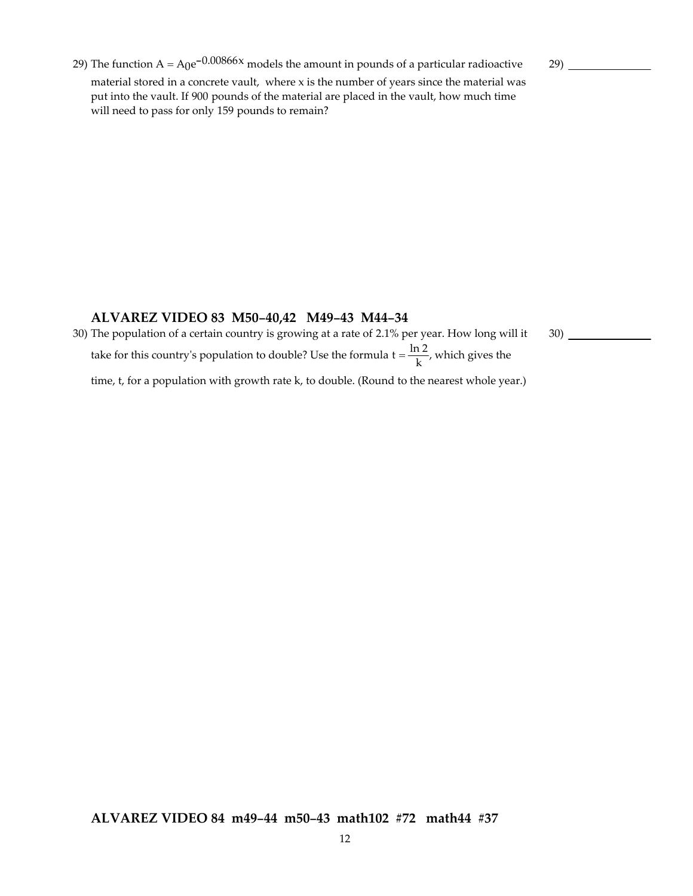29) The function  $A = A_0e^{-0.00866x}$  models the amount in pounds of a particular radioactive material stored in a concrete vault, where x is the number of years since the material was put into the vault. If 900 pounds of the material are placed in the vault, how much time will need to pass for only 159 pounds to remain?

29)

30)

#### **ALVAREZ VIDEO 83 M50-40,42 M49-43 M44-34**

30) The population of a certain country is growing at a rate of 2.1% per year. How long will it take for this country's population to double? Use the formula  $t = \frac{\ln 2}{k}$ , which gives the time, t, for a population with growth rate k, to double. (Round to the nearest whole year.)

**ALVAREZ VIDEO 84 m49-44 m50-43 math102 #72 math44 #37**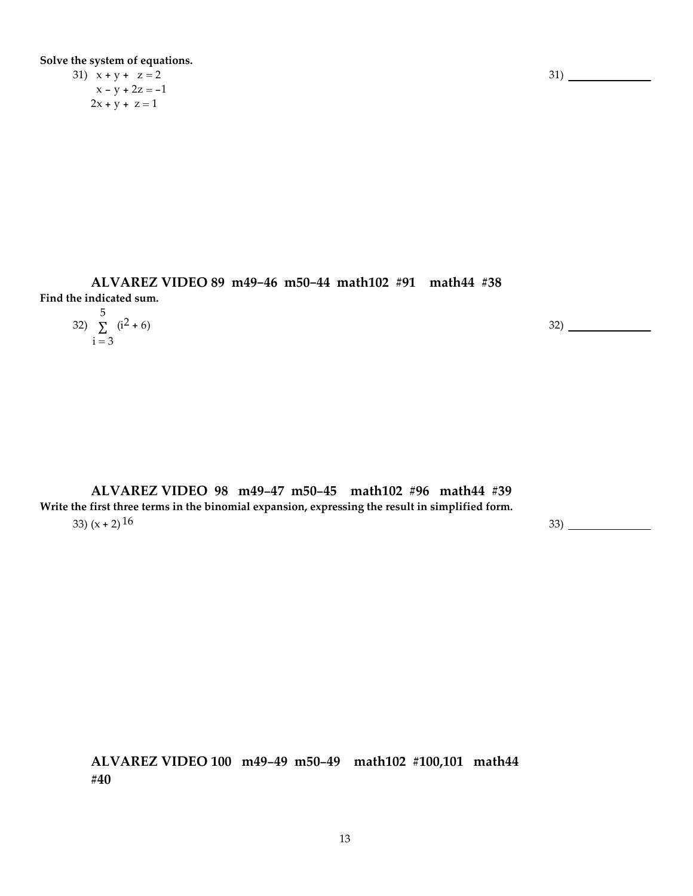**Solve the system of equations.**

31)  $x + y + z = 2$  $x - y + 2z = -1$  $2x + y + z = 1$ 

**ALVAREZ VIDEO 89 m49-46 m50-44 math102 #91 math44 #38 Find the indicated sum.**

| $-$                                     |     |
|-----------------------------------------|-----|
| 32) $\sum_{1}^{3}$ (i <sup>2</sup> + 6) | 32) |
| $i = 3$                                 |     |

**ALVAREZ VIDEO 98 m49-47 m50-45 math102 #96 math44 #39 Write the first three terms in the binomial expansion, expressing the result in simplified form.**  $33)$  (x + 2) 16  $33)$  (x + 2) 16

**ALVAREZ VIDEO 100 m49-49 m50-49 math102 #100,101 math44 #40**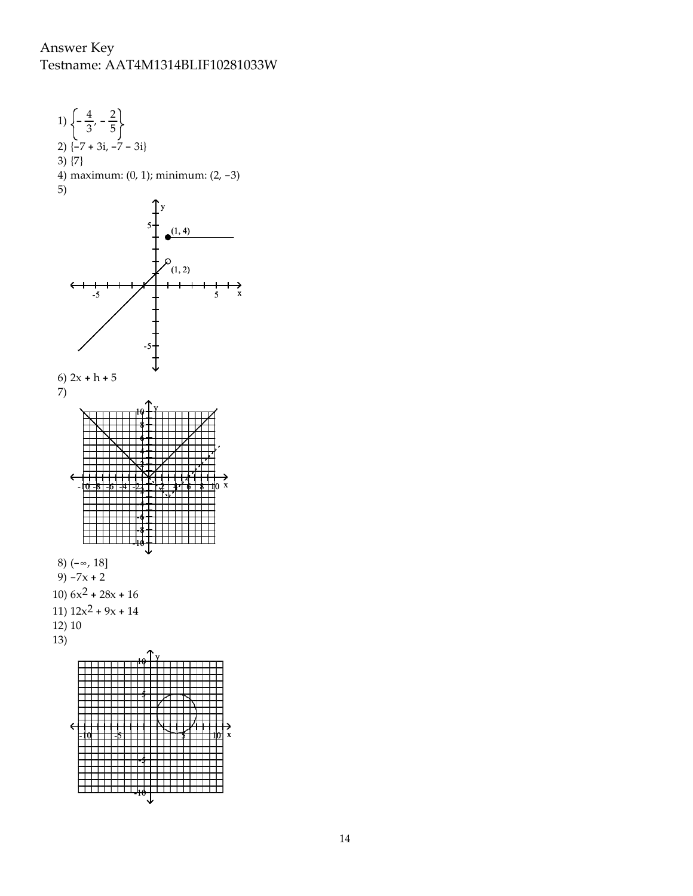## Answer Key Testname: AAT4M1314BLIF10281033W